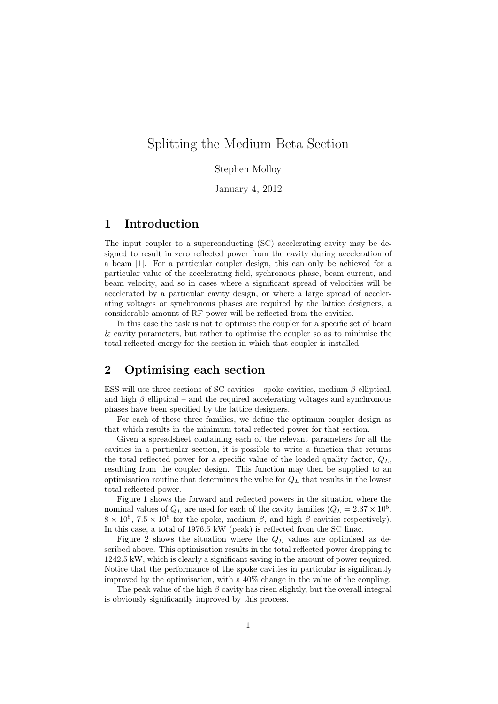# Splitting the Medium Beta Section

#### Stephen Molloy

January 4, 2012

#### 1 Introduction

The input coupler to a superconducting (SC) accelerating cavity may be designed to result in zero reflected power from the cavity during acceleration of a beam [1]. For a particular coupler design, this can only be achieved for a particular value of the accelerating field, sychronous phase, beam current, and beam velocity, and so in cases where a significant spread of velocities will be accelerated by a particular cavity design, or where a large spread of accelerating voltages or synchronous phases are required by the lattice designers, a considerable amount of RF power will be reflected from the cavities.

In this case the task is not to optimise the coupler for a specific set of beam & cavity parameters, but rather to optimise the coupler so as to minimise the total reflected energy for the section in which that coupler is installed.

### 2 Optimising each section

ESS will use three sections of SC cavities – spoke cavities, medium  $\beta$  elliptical, and high  $\beta$  elliptical – and the required accelerating voltages and synchronous phases have been specified by the lattice designers.

For each of these three families, we define the optimum coupler design as that which results in the minimum total reflected power for that section.

Given a spreadsheet containing each of the relevant parameters for all the cavities in a particular section, it is possible to write a function that returns the total reflected power for a specific value of the loaded quality factor,  $Q_L$ , resulting from the coupler design. This function may then be supplied to an optimisation routine that determines the value for  $Q_L$  that results in the lowest total reflected power.

Figure 1 shows the forward and reflected powers in the situation where the nominal values of  $Q_L$  are used for each of the cavity families  $(Q_L = 2.37 \times 10^5,$  $8 \times 10^5$ ,  $7.5 \times 10^5$  for the spoke, medium  $\beta$ , and high  $\beta$  cavities respectively). In this case, a total of 1976.5 kW (peak) is reflected from the SC linac.

Figure 2 shows the situation where the  $Q_L$  values are optimised as described above. This optimisation results in the total reflected power dropping to 1242.5 kW, which is clearly a significant saving in the amount of power required. Notice that the performance of the spoke cavities in particular is significantly improved by the optimisation, with a 40% change in the value of the coupling.

The peak value of the high  $\beta$  cavity has risen slightly, but the overall integral is obviously significantly improved by this process.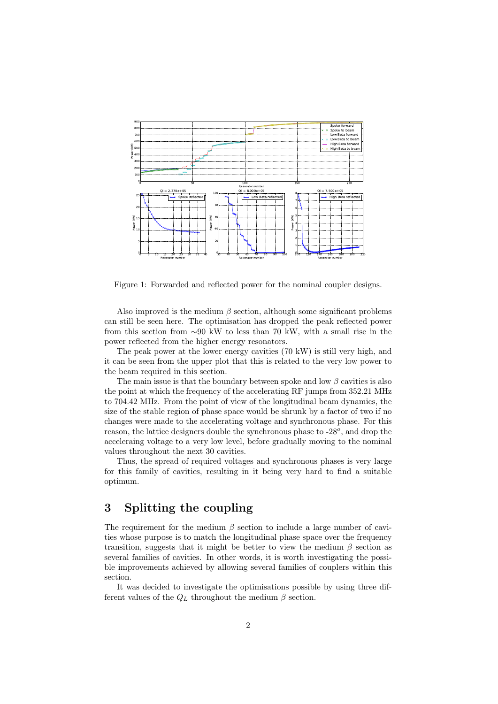

Figure 1: Forwarded and reflected power for the nominal coupler designs.

Also improved is the medium  $\beta$  section, although some significant problems can still be seen here. The optimisation has dropped the peak reflected power from this section from ∼90 kW to less than 70 kW, with a small rise in the power reflected from the higher energy resonators.

The peak power at the lower energy cavities (70 kW) is still very high, and it can be seen from the upper plot that this is related to the very low power to the beam required in this section.

The main issue is that the boundary between spoke and low  $\beta$  cavities is also the point at which the frequency of the accelerating RF jumps from 352.21 MHz to 704.42 MHz. From the point of view of the longitudinal beam dynamics, the size of the stable region of phase space would be shrunk by a factor of two if no changes were made to the accelerating voltage and synchronous phase. For this reason, the lattice designers double the synchronous phase to  $-28^o$ , and drop the acceleraing voltage to a very low level, before gradually moving to the nominal values throughout the next 30 cavities.

Thus, the spread of required voltages and synchronous phases is very large for this family of cavities, resulting in it being very hard to find a suitable optimum.

## 3 Splitting the coupling

The requirement for the medium  $\beta$  section to include a large number of cavities whose purpose is to match the longitudinal phase space over the frequency transition, suggests that it might be better to view the medium  $\beta$  section as several families of cavities. In other words, it is worth investigating the possible improvements achieved by allowing several families of couplers within this section.

It was decided to investigate the optimisations possible by using three different values of the  $Q_L$  throughout the medium  $\beta$  section.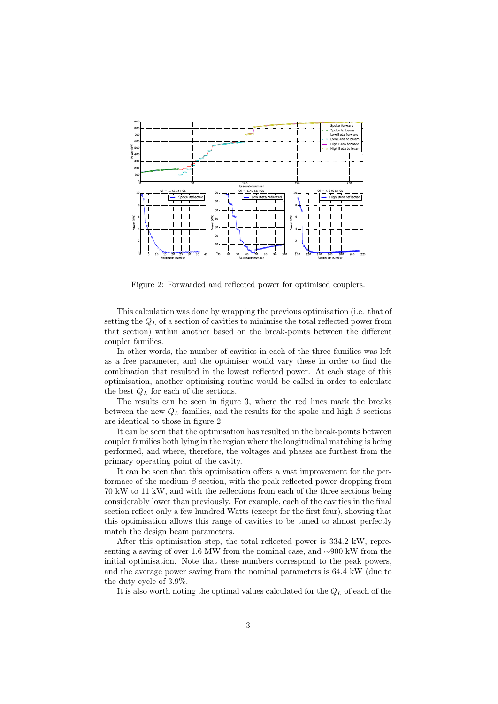

Figure 2: Forwarded and reflected power for optimised couplers.

This calculation was done by wrapping the previous optimisation (i.e. that of setting the  $Q_L$  of a section of cavities to minimise the total reflected power from that section) within another based on the break-points between the different coupler families.

In other words, the number of cavities in each of the three families was left as a free parameter, and the optimiser would vary these in order to find the combination that resulted in the lowest reflected power. At each stage of this optimisation, another optimising routine would be called in order to calculate the best  $Q_L$  for each of the sections.

The results can be seen in figure 3, where the red lines mark the breaks between the new  $Q_L$  families, and the results for the spoke and high  $\beta$  sections are identical to those in figure 2.

It can be seen that the optimisation has resulted in the break-points between coupler families both lying in the region where the longitudinal matching is being performed, and where, therefore, the voltages and phases are furthest from the primary operating point of the cavity.

It can be seen that this optimisation offers a vast improvement for the performace of the medium  $\beta$  section, with the peak reflected power dropping from 70 kW to 11 kW, and with the reflections from each of the three sections being considerably lower than previously. For example, each of the cavities in the final section reflect only a few hundred Watts (except for the first four), showing that this optimisation allows this range of cavities to be tuned to almost perfectly match the design beam parameters.

After this optimisation step, the total reflected power is 334.2 kW, representing a saving of over 1.6 MW from the nominal case, and ∼900 kW from the initial optimisation. Note that these numbers correspond to the peak powers, and the average power saving from the nominal parameters is 64.4 kW (due to the duty cycle of 3.9%.

It is also worth noting the optimal values calculated for the  $Q_L$  of each of the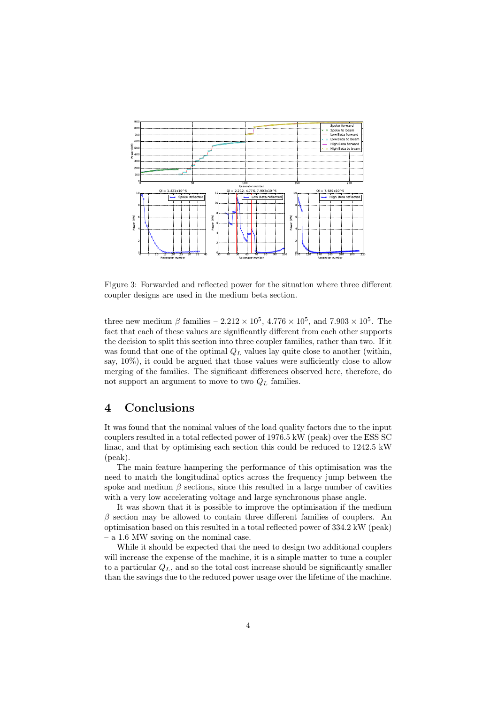

Figure 3: Forwarded and reflected power for the situation where three different coupler designs are used in the medium beta section.

three new medium  $\beta$  families  $-2.212 \times 10^5$ ,  $4.776 \times 10^5$ , and  $7.903 \times 10^5$ . The fact that each of these values are significantly different from each other supports the decision to split this section into three coupler families, rather than two. If it was found that one of the optimal  $Q_L$  values lay quite close to another (within, say,  $10\%$ ), it could be argued that those values were sufficiently close to allow merging of the families. The significant differences observed here, therefore, do not support an argument to move to two  $Q_L$  families.

### 4 Conclusions

It was found that the nominal values of the load quality factors due to the input couplers resulted in a total reflected power of 1976.5 kW (peak) over the ESS SC linac, and that by optimising each section this could be reduced to 1242.5 kW (peak).

The main feature hampering the performance of this optimisation was the need to match the longitudinal optics across the frequency jump between the spoke and medium  $\beta$  sections, since this resulted in a large number of cavities with a very low accelerating voltage and large synchronous phase angle.

It was shown that it is possible to improve the optimisation if the medium  $\beta$  section may be allowed to contain three different families of couplers. An optimisation based on this resulted in a total reflected power of 334.2 kW (peak) – a 1.6 MW saving on the nominal case.

While it should be expected that the need to design two additional couplers will increase the expense of the machine, it is a simple matter to tune a coupler to a particular  $Q_L$ , and so the total cost increase should be significantly smaller than the savings due to the reduced power usage over the lifetime of the machine.